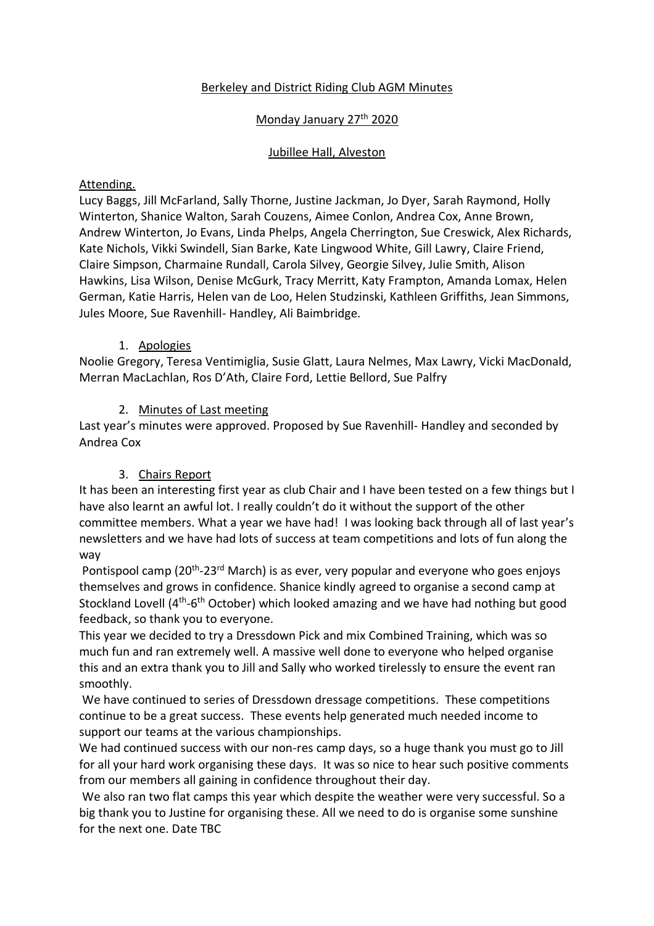## Berkeley and District Riding Club AGM Minutes

## Monday January 27<sup>th</sup> 2020

### Jubillee Hall, Alveston

### Attending.

Lucy Baggs, Jill McFarland, Sally Thorne, Justine Jackman, Jo Dyer, Sarah Raymond, Holly Winterton, Shanice Walton, Sarah Couzens, Aimee Conlon, Andrea Cox, Anne Brown, Andrew Winterton, Jo Evans, Linda Phelps, Angela Cherrington, Sue Creswick, Alex Richards, Kate Nichols, Vikki Swindell, Sian Barke, Kate Lingwood White, Gill Lawry, Claire Friend, Claire Simpson, Charmaine Rundall, Carola Silvey, Georgie Silvey, Julie Smith, Alison Hawkins, Lisa Wilson, Denise McGurk, Tracy Merritt, Katy Frampton, Amanda Lomax, Helen German, Katie Harris, Helen van de Loo, Helen Studzinski, Kathleen Griffiths, Jean Simmons, Jules Moore, Sue Ravenhill- Handley, Ali Baimbridge.

### 1. Apologies

Noolie Gregory, Teresa Ventimiglia, Susie Glatt, Laura Nelmes, Max Lawry, Vicki MacDonald, Merran MacLachlan, Ros D'Ath, Claire Ford, Lettie Bellord, Sue Palfry

## 2. Minutes of Last meeting

Last year's minutes were approved. Proposed by Sue Ravenhill- Handley and seconded by Andrea Cox

# 3. Chairs Report

It has been an interesting first year as club Chair and I have been tested on a few things but I have also learnt an awful lot. I really couldn't do it without the support of the other committee members. What a year we have had! I was looking back through all of last year's newsletters and we have had lots of success at team competitions and lots of fun along the way

Pontispool camp (20<sup>th</sup>-23<sup>rd</sup> March) is as ever, very popular and everyone who goes enjoys themselves and grows in confidence. Shanice kindly agreed to organise a second camp at Stockland Lovell (4<sup>th</sup>-6<sup>th</sup> October) which looked amazing and we have had nothing but good feedback, so thank you to everyone.

This year we decided to try a Dressdown Pick and mix Combined Training, which was so much fun and ran extremely well. A massive well done to everyone who helped organise this and an extra thank you to Jill and Sally who worked tirelessly to ensure the event ran smoothly.

We have continued to series of Dressdown dressage competitions. These competitions continue to be a great success. These events help generated much needed income to support our teams at the various championships.

We had continued success with our non-res camp days, so a huge thank you must go to Jill for all your hard work organising these days. It was so nice to hear such positive comments from our members all gaining in confidence throughout their day.

We also ran two flat camps this year which despite the weather were very successful. So a big thank you to Justine for organising these. All we need to do is organise some sunshine for the next one. Date TBC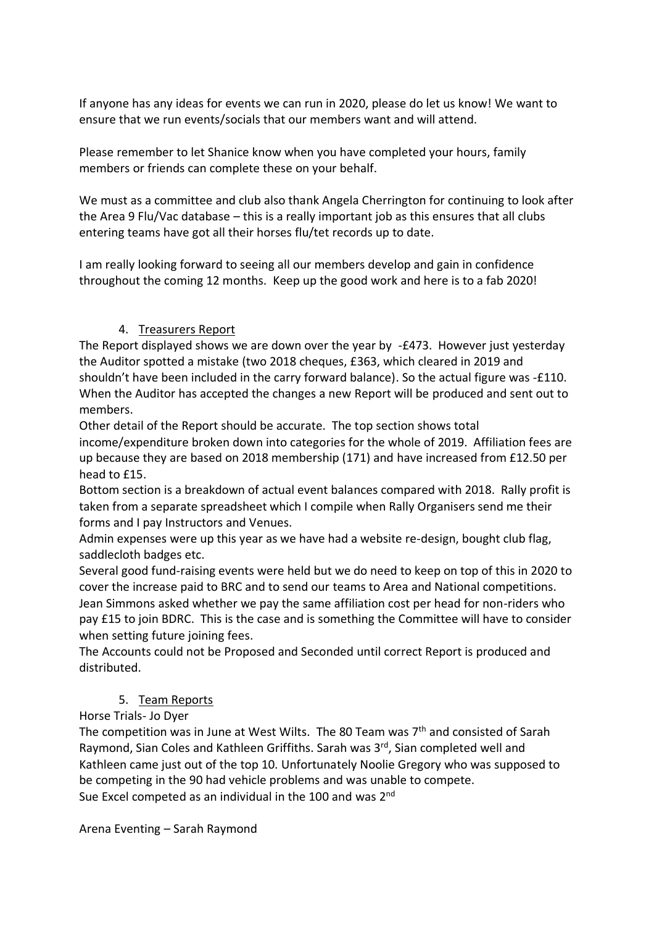If anyone has any ideas for events we can run in 2020, please do let us know! We want to ensure that we run events/socials that our members want and will attend.

Please remember to let Shanice know when you have completed your hours, family members or friends can complete these on your behalf.

We must as a committee and club also thank Angela Cherrington for continuing to look after the Area 9 Flu/Vac database – this is a really important job as this ensures that all clubs entering teams have got all their horses flu/tet records up to date.

I am really looking forward to seeing all our members develop and gain in confidence throughout the coming 12 months. Keep up the good work and here is to a fab 2020!

# 4. Treasurers Report

The Report displayed shows we are down over the year by -£473. However just yesterday the Auditor spotted a mistake (two 2018 cheques, £363, which cleared in 2019 and shouldn't have been included in the carry forward balance). So the actual figure was -£110. When the Auditor has accepted the changes a new Report will be produced and sent out to members.

Other detail of the Report should be accurate. The top section shows total income/expenditure broken down into categories for the whole of 2019. Affiliation fees are up because they are based on 2018 membership (171) and have increased from £12.50 per head to £15.

Bottom section is a breakdown of actual event balances compared with 2018. Rally profit is taken from a separate spreadsheet which I compile when Rally Organisers send me their forms and I pay Instructors and Venues.

Admin expenses were up this year as we have had a website re-design, bought club flag, saddlecloth badges etc.

Several good fund-raising events were held but we do need to keep on top of this in 2020 to cover the increase paid to BRC and to send our teams to Area and National competitions. Jean Simmons asked whether we pay the same affiliation cost per head for non-riders who pay £15 to join BDRC. This is the case and is something the Committee will have to consider when setting future joining fees.

The Accounts could not be Proposed and Seconded until correct Report is produced and distributed.

# 5. Team Reports

Horse Trials- Jo Dyer

The competition was in June at West Wilts. The 80 Team was 7<sup>th</sup> and consisted of Sarah Raymond, Sian Coles and Kathleen Griffiths. Sarah was 3<sup>rd</sup>, Sian completed well and Kathleen came just out of the top 10. Unfortunately Noolie Gregory who was supposed to be competing in the 90 had vehicle problems and was unable to compete. Sue Excel competed as an individual in the 100 and was 2<sup>nd</sup>

Arena Eventing – Sarah Raymond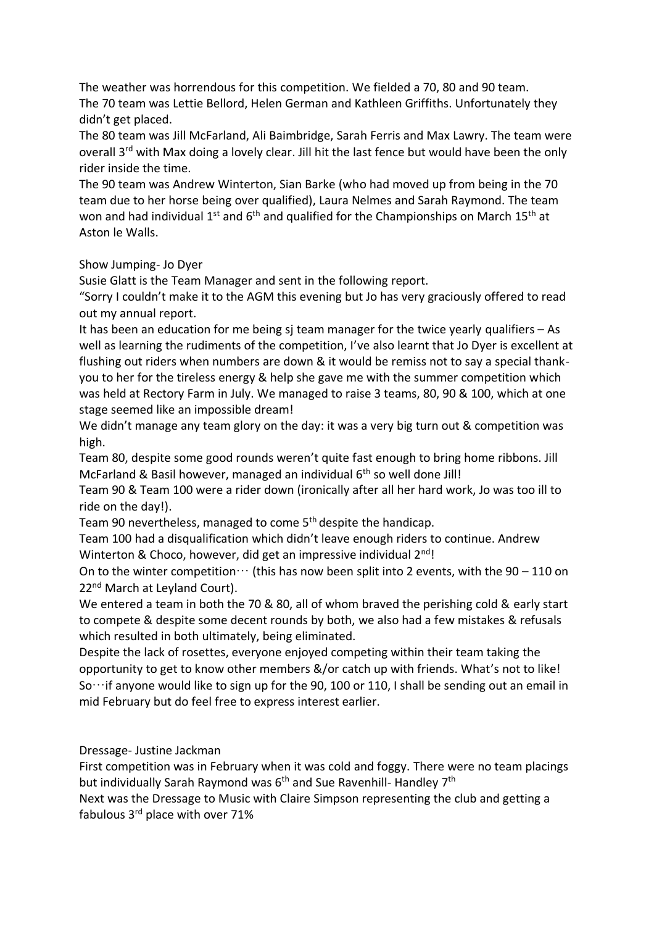The weather was horrendous for this competition. We fielded a 70, 80 and 90 team. The 70 team was Lettie Bellord, Helen German and Kathleen Griffiths. Unfortunately they didn't get placed.

The 80 team was Jill McFarland, Ali Baimbridge, Sarah Ferris and Max Lawry. The team were overall 3<sup>rd</sup> with Max doing a lovely clear. Jill hit the last fence but would have been the only rider inside the time.

The 90 team was Andrew Winterton, Sian Barke (who had moved up from being in the 70 team due to her horse being over qualified), Laura Nelmes and Sarah Raymond. The team won and had individual  $1^{st}$  and  $6^{th}$  and qualified for the Championships on March  $15^{th}$  at Aston le Walls.

Show Jumping- Jo Dyer

Susie Glatt is the Team Manager and sent in the following report.

"Sorry I couldn't make it to the AGM this evening but Jo has very graciously offered to read out my annual report.

It has been an education for me being sj team manager for the twice yearly qualifiers – As well as learning the rudiments of the competition, I've also learnt that Jo Dyer is excellent at flushing out riders when numbers are down & it would be remiss not to say a special thankyou to her for the tireless energy & help she gave me with the summer competition which was held at Rectory Farm in July. We managed to raise 3 teams, 80, 90 & 100, which at one stage seemed like an impossible dream!

We didn't manage any team glory on the day: it was a very big turn out & competition was high.

Team 80, despite some good rounds weren't quite fast enough to bring home ribbons. Jill McFarland & Basil however, managed an individual 6<sup>th</sup> so well done Jill!

Team 90 & Team 100 were a rider down (ironically after all her hard work, Jo was too ill to ride on the day!).

Team 90 nevertheless, managed to come 5<sup>th</sup> despite the handicap.

Team 100 had a disqualification which didn't leave enough riders to continue. Andrew Winterton & Choco, however, did get an impressive individual 2<sup>nd</sup>!

On to the winter competition  $\cdots$  (this has now been split into 2 events, with the 90 – 110 on 22<sup>nd</sup> March at Levland Court).

We entered a team in both the 70 & 80, all of whom braved the perishing cold & early start to compete & despite some decent rounds by both, we also had a few mistakes & refusals which resulted in both ultimately, being eliminated.

Despite the lack of rosettes, everyone enjoyed competing within their team taking the opportunity to get to know other members &/or catch up with friends. What's not to like! So…if anyone would like to sign up for the 90, 100 or 110, I shall be sending out an email in mid February but do feel free to express interest earlier.

Dressage- Justine Jackman

First competition was in February when it was cold and foggy. There were no team placings but individually Sarah Raymond was 6<sup>th</sup> and Sue Ravenhill- Handley 7<sup>th</sup>

Next was the Dressage to Music with Claire Simpson representing the club and getting a fabulous 3rd place with over 71%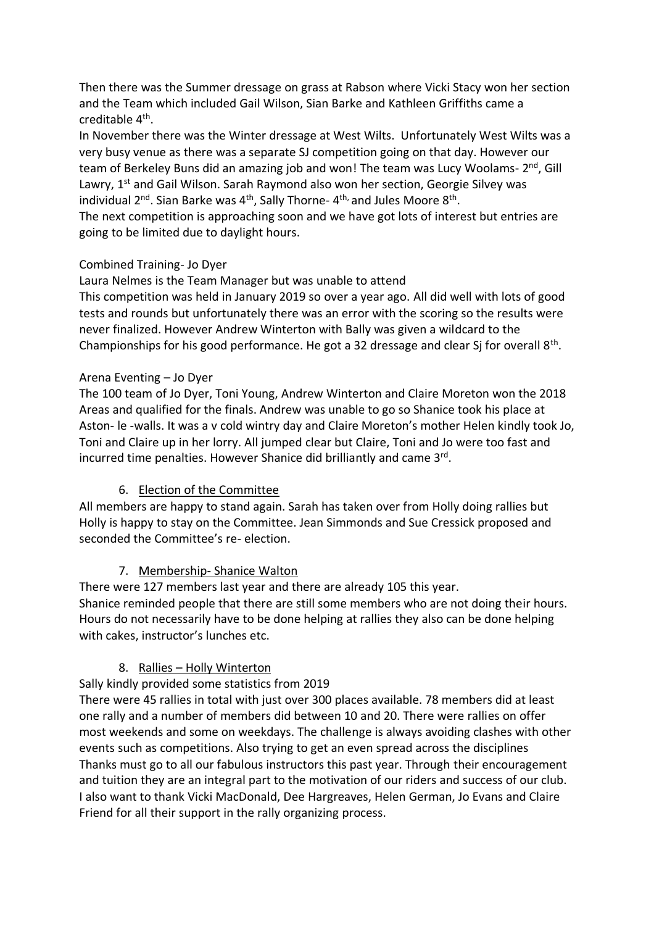Then there was the Summer dressage on grass at Rabson where Vicki Stacy won her section and the Team which included Gail Wilson, Sian Barke and Kathleen Griffiths came a creditable 4<sup>th</sup>.

In November there was the Winter dressage at West Wilts. Unfortunately West Wilts was a very busy venue as there was a separate SJ competition going on that day. However our team of Berkeley Buns did an amazing job and won! The team was Lucy Woolams- 2<sup>nd</sup>, Gill Lawry, 1<sup>st</sup> and Gail Wilson. Sarah Raymond also won her section, Georgie Silvey was individual 2<sup>nd</sup>. Sian Barke was 4<sup>th</sup>, Sally Thorne- 4<sup>th,</sup> and Jules Moore 8<sup>th</sup>.

The next competition is approaching soon and we have got lots of interest but entries are going to be limited due to daylight hours.

### Combined Training- Jo Dyer

Laura Nelmes is the Team Manager but was unable to attend

This competition was held in January 2019 so over a year ago. All did well with lots of good tests and rounds but unfortunately there was an error with the scoring so the results were never finalized. However Andrew Winterton with Bally was given a wildcard to the Championships for his good performance. He got a 32 dressage and clear Sj for overall 8<sup>th</sup>.

## Arena Eventing – Jo Dyer

The 100 team of Jo Dyer, Toni Young, Andrew Winterton and Claire Moreton won the 2018 Areas and qualified for the finals. Andrew was unable to go so Shanice took his place at Aston- le -walls. It was a v cold wintry day and Claire Moreton's mother Helen kindly took Jo, Toni and Claire up in her lorry. All jumped clear but Claire, Toni and Jo were too fast and incurred time penalties. However Shanice did brilliantly and came 3<sup>rd</sup>.

# 6. Election of the Committee

All members are happy to stand again. Sarah has taken over from Holly doing rallies but Holly is happy to stay on the Committee. Jean Simmonds and Sue Cressick proposed and seconded the Committee's re- election.

# 7. Membership- Shanice Walton

There were 127 members last year and there are already 105 this year. Shanice reminded people that there are still some members who are not doing their hours. Hours do not necessarily have to be done helping at rallies they also can be done helping with cakes, instructor's lunches etc.

# 8. Rallies – Holly Winterton

Sally kindly provided some statistics from 2019

There were 45 rallies in total with just over 300 places available. 78 members did at least one rally and a number of members did between 10 and 20. There were rallies on offer most weekends and some on weekdays. The challenge is always avoiding clashes with other events such as competitions. Also trying to get an even spread across the disciplines Thanks must go to all our fabulous instructors this past year. Through their encouragement and tuition they are an integral part to the motivation of our riders and success of our club. I also want to thank Vicki MacDonald, Dee Hargreaves, Helen German, Jo Evans and Claire Friend for all their support in the rally organizing process.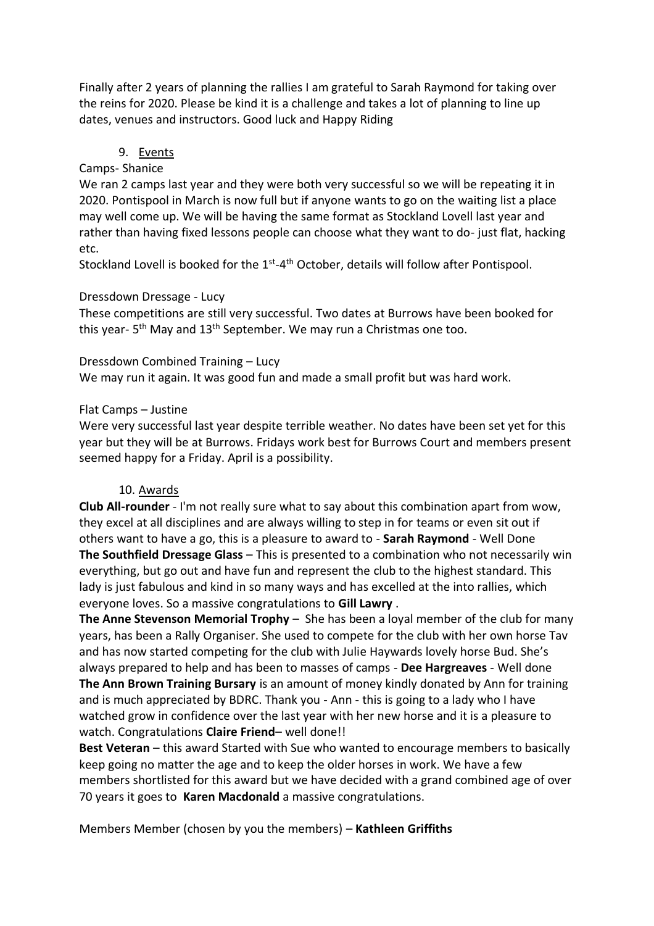Finally after 2 years of planning the rallies I am grateful to Sarah Raymond for taking over the reins for 2020. Please be kind it is a challenge and takes a lot of planning to line up dates, venues and instructors. Good luck and Happy Riding

### 9. Events

### Camps- Shanice

We ran 2 camps last year and they were both very successful so we will be repeating it in 2020. Pontispool in March is now full but if anyone wants to go on the waiting list a place may well come up. We will be having the same format as Stockland Lovell last year and rather than having fixed lessons people can choose what they want to do- just flat, hacking etc.

Stockland Lovell is booked for the 1<sup>st</sup>-4<sup>th</sup> October, details will follow after Pontispool.

#### Dressdown Dressage - Lucy

These competitions are still very successful. Two dates at Burrows have been booked for this year- 5<sup>th</sup> May and 13<sup>th</sup> September. We may run a Christmas one too.

#### Dressdown Combined Training – Lucy

We may run it again. It was good fun and made a small profit but was hard work.

#### Flat Camps – Justine

Were very successful last year despite terrible weather. No dates have been set yet for this year but they will be at Burrows. Fridays work best for Burrows Court and members present seemed happy for a Friday. April is a possibility.

#### 10. Awards

**Club All-rounder** - I'm not really sure what to say about this combination apart from wow, they excel at all disciplines and are always willing to step in for teams or even sit out if others want to have a go, this is a pleasure to award to - **Sarah Raymond** - Well Done **The Southfield Dressage Glass** – This is presented to a combination who not necessarily win everything, but go out and have fun and represent the club to the highest standard. This lady is just fabulous and kind in so many ways and has excelled at the into rallies, which everyone loves. So a massive congratulations to **Gill Lawry** .

**The Anne Stevenson Memorial Trophy** – She has been a loyal member of the club for many years, has been a Rally Organiser. She used to compete for the club with her own horse Tav and has now started competing for the club with Julie Haywards lovely horse Bud. She's always prepared to help and has been to masses of camps - **Dee Hargreaves** - Well done **The Ann Brown Training Bursary** is an amount of money kindly donated by Ann for training and is much appreciated by BDRC. Thank you - Ann - this is going to a lady who I have watched grow in confidence over the last year with her new horse and it is a pleasure to watch. Congratulations **Claire Friend**– well done!!

**Best Veteran** – this award Started with Sue who wanted to encourage members to basically keep going no matter the age and to keep the older horses in work. We have a few members shortlisted for this award but we have decided with a grand combined age of over 70 years it goes to **Karen Macdonald** a massive congratulations.

Members Member (chosen by you the members) – **Kathleen Griffiths**